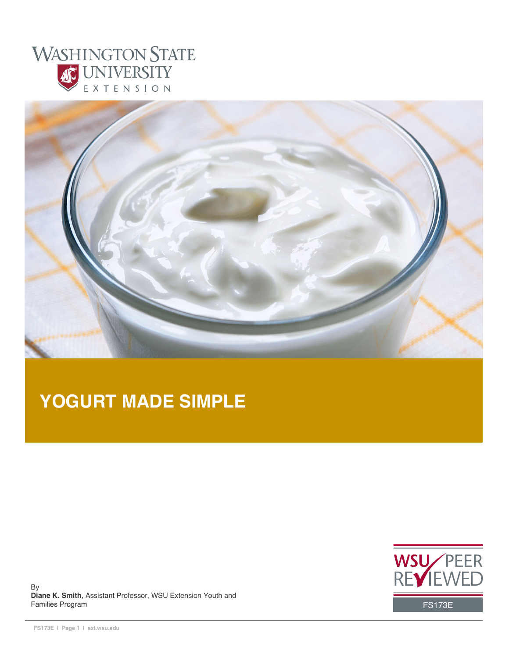



# **YOGURT MADE SIMPLE**



By **Diane K. Smith**, Assistant Professor, WSU Extension Youth and Families Program FS173E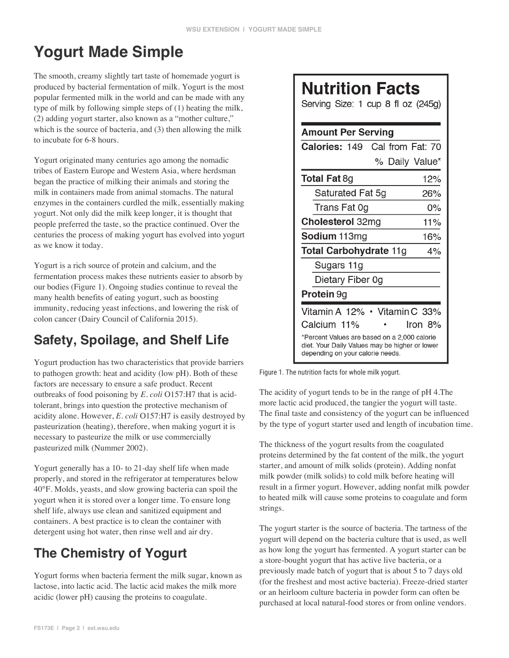# **Yogurt Made Simple**

The smooth, creamy slightly tart taste of homemade yogurt is produced by bacterial fermentation of milk. Yogurt is the most popular fermented milk in the world and can be made with any type of milk by following simple steps of (1) heating the milk, (2) adding yogurt starter, also known as a "mother culture," which is the source of bacteria, and (3) then allowing the milk to incubate for 6-8 hours.

Yogurt originated many centuries ago among the nomadic tribes of Eastern Europe and Western Asia, where herdsman began the practice of milking their animals and storing the milk in containers made from animal stomachs. The natural enzymes in the containers curdled the milk, essentially making yogurt. Not only did the milk keep longer, it is thought that people preferred the taste, so the practice continued. Over the centuries the process of making yogurt has evolved into yogurt as we know it today.

Yogurt is a rich source of protein and calcium, and the fermentation process makes these nutrients easier to absorb by our bodies (Figure 1). Ongoing studies continue to reveal the many health benefits of eating yogurt, such as boosting immunity, reducing yeast infections, and lowering the risk of colon cancer (Dairy Council of California 2015).

## **Safety, Spoilage, and Shelf Life**

Yogurt production has two characteristics that provide barriers to pathogen growth: heat and acidity (low pH). Both of these factors are necessary to ensure a safe product. Recent outbreaks of food poisoning by *E. coli* O157:H7 that is acidtolerant, brings into question the protective mechanism of acidity alone. However, *E. coli* O157:H7 is easily destroyed by pasteurization (heating), therefore, when making yogurt it is necessary to pasteurize the milk or use commercially pasteurized milk (Nummer 2002).

Yogurt generally has a 10- to 21-day shelf life when made properly, and stored in the refrigerator at temperatures below 40°F. Molds, yeasts, and slow growing bacteria can spoil the yogurt when it is stored over a longer time. To ensure long shelf life, always use clean and sanitized equipment and containers. A best practice is to clean the container with detergent using hot water, then rinse well and air dry.

# **The Chemistry of Yogurt**

Yogurt forms when bacteria ferment the milk sugar, known as lactose, into lactic acid. The lactic acid makes the milk more acidic (lower pH) causing the proteins to coagulate.

# **Nutrition Facts**

Serving Size: 1 cup 8 fl oz (245g)

| <b>Amount Per Serving</b>                                                                                                          |  |  |  |  |
|------------------------------------------------------------------------------------------------------------------------------------|--|--|--|--|
| Cal from Fat: 70<br>Calories: 149                                                                                                  |  |  |  |  |
| % Daily Value*                                                                                                                     |  |  |  |  |
| <b>Total Fat 8g</b><br>12%                                                                                                         |  |  |  |  |
| Saturated Fat 5g<br>26%                                                                                                            |  |  |  |  |
| Trans Fat 0g<br>0%                                                                                                                 |  |  |  |  |
| <b>Cholesterol 32mg</b><br>11%                                                                                                     |  |  |  |  |
| Sodium 113mg<br>16%                                                                                                                |  |  |  |  |
| <b>Total Carbohydrate 11g</b><br>4%                                                                                                |  |  |  |  |
| Sugars 11g                                                                                                                         |  |  |  |  |
| Dietary Fiber 0g                                                                                                                   |  |  |  |  |
| <b>Protein</b> 9g                                                                                                                  |  |  |  |  |
| Vitamin A 12% · Vitamin C 33%                                                                                                      |  |  |  |  |
| Calcium 11%<br>lron 8%                                                                                                             |  |  |  |  |
| *Percent Values are based on a 2,000 calorie<br>diet. Your Daily Values may be higher or lower<br>depending on your calorie needs. |  |  |  |  |

Figure 1. The nutrition facts for whole milk yogurt.

The acidity of yogurt tends to be in the range of pH 4.The more lactic acid produced, the tangier the yogurt will taste. The final taste and consistency of the yogurt can be influenced by the type of yogurt starter used and length of incubation time.

The thickness of the yogurt results from the coagulated proteins determined by the fat content of the milk, the yogurt starter, and amount of milk solids (protein). Adding nonfat milk powder (milk solids) to cold milk before heating will result in a firmer yogurt. However, adding nonfat milk powder to heated milk will cause some proteins to coagulate and form strings.

The yogurt starter is the source of bacteria. The tartness of the yogurt will depend on the bacteria culture that is used, as well as how long the yogurt has fermented. A yogurt starter can be a store-bought yogurt that has active live bacteria, or a previously made batch of yogurt that is about 5 to 7 days old (for the freshest and most active bacteria). Freeze-dried starter or an heirloom culture bacteria in powder form can often be purchased at local natural-food stores or from online vendors.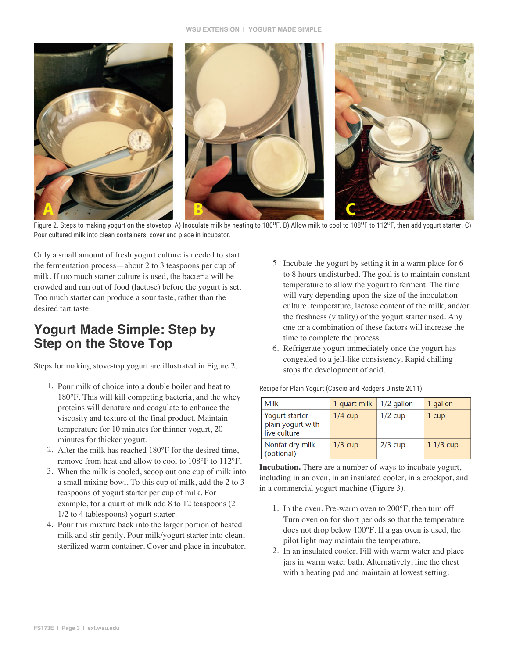

Figure 2. Steps to making yogurt on the stovetop. A) Inoculate milk by heating to 180°F. B) Allow milk to cool to 108°F to 112°F, then add yogurt starter. C) Pour cultured milk into clean containers, cover and place in incubator.

Only a small amount of fresh yogurt culture is needed to start the fermentation process—about 2 to 3 teaspoons per cup of milk. If too much starter culture is used, the bacteria will be crowded and run out of food (lactose) before the yogurt is set. Too much starter can produce a sour taste, rather than the desired tart taste.

### **Yogurt Made Simple: Step by Step on the Stove Top**

Steps for making stove-top yogurt are illustrated in Figure 2.

- 1. Pour milk of choice into a double boiler and heat to 180°F. This will kill competing bacteria, and the whey proteins will denature and coagulate to enhance the viscosity and texture of the final product. Maintain temperature for 10 minutes for thinner yogurt, 20 minutes for thicker yogurt.
- 2. After the milk has reached 180°F for the desired time, remove from heat and allow to cool to 108°F to 112°F.
- 3. When the milk is cooled, scoop out one cup of milk into a small mixing bowl. To this cup of milk, add the 2 to 3 teaspoons of yogurt starter per cup of milk. For example, for a quart of milk add 8 to 12 teaspoons (2 1/2 to 4 tablespoons) yogurt starter.
- 4. Pour this mixture back into the larger portion of heated milk and stir gently. Pour milk/yogurt starter into clean, sterilized warm container. Cover and place in incubator.
- 5. Incubate the yogurt by setting it in a warm place for 6 to 8 hours undisturbed. The goal is to maintain constant temperature to allow the yogurt to ferment. The time will vary depending upon the size of the inoculation culture, temperature, lactose content of the milk, and/or the freshness (vitality) of the yogurt starter used. Any one or a combination of these factors will increase the time to complete the process.
- 6. Refrigerate yogurt immediately once the yogurt has congealed to a jell-like consistency. Rapid chilling stops the development of acid.

Recipe for Plain Yogurt (Cascio and Rodgers Dinste 2011)

| Milk                                                 | 1 quart milk | $1/2$ gallon | 1 gallon   |
|------------------------------------------------------|--------------|--------------|------------|
| Yogurt starter-<br>plain yogurt with<br>live culture | $1/4$ cup    | $1/2$ cup    | 1 cup      |
| Nonfat dry milk<br>(optional)                        | $1/3$ cup    | $2/3$ cup    | $11/3$ cup |

**Incubation.** There are a number of ways to incubate yogurt, including in an oven, in an insulated cooler, in a crockpot, and in a commercial yogurt machine (Figure 3).

- 1. In the oven. Pre-warm oven to 200°F, then turn off. Turn oven on for short periods so that the temperature does not drop below 100°F. If a gas oven is used, the pilot light may maintain the temperature.
- 2. In an insulated cooler. Fill with warm water and place jars in warm water bath. Alternatively, line the chest with a heating pad and maintain at lowest setting.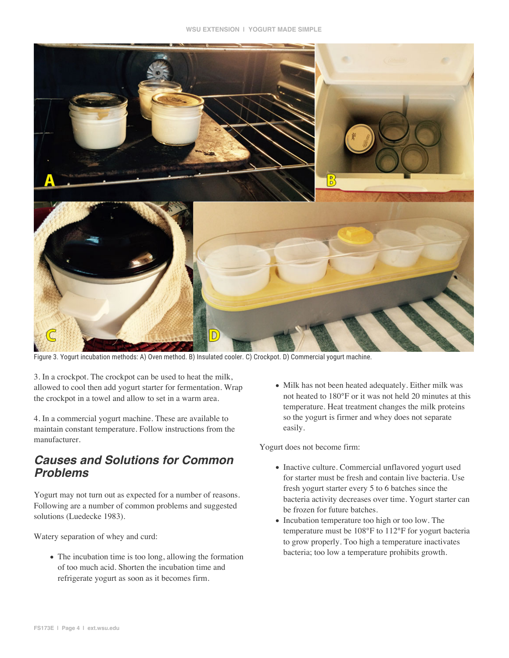

Figure 3. Yogurt incubation methods: A) Oven method. B) Insulated cooler. C) Crockpot. D) Commercial yogurt machine.

3. In a crockpot. The crockpot can be used to heat the milk, allowed to cool then add yogurt starter for fermentation. Wrap the crockpot in a towel and allow to set in a warm area.

4. In a commercial yogurt machine. These are available to maintain constant temperature. Follow instructions from the manufacturer.

### *Causes and Solutions for Common Problems*

Yogurt may not turn out as expected for a number of reasons. Following are a number of common problems and suggested solutions (Luedecke 1983).

Watery separation of whey and curd:

• The incubation time is too long, allowing the formation of too much acid. Shorten the incubation time and refrigerate yogurt as soon as it becomes firm.

• Milk has not been heated adequately. Either milk was not heated to 180°F or it was not held 20 minutes at this temperature. Heat treatment changes the milk proteins so the yogurt is firmer and whey does not separate easily.

Yogurt does not become firm:

- Inactive culture. Commercial unflavored yogurt used for starter must be fresh and contain live bacteria. Use fresh yogurt starter every 5 to 6 batches since the bacteria activity decreases over time. Yogurt starter can be frozen for future batches.
- Incubation temperature too high or too low. The temperature must be 108°F to 112°F for yogurt bacteria to grow properly. Too high a temperature inactivates bacteria; too low a temperature prohibits growth.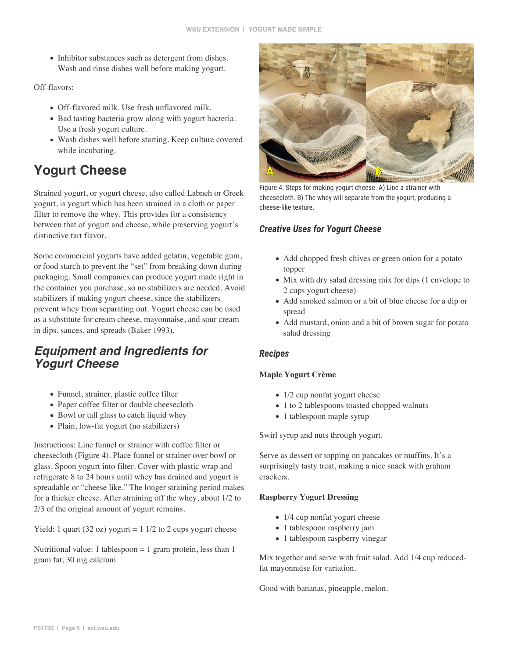• Inhibitor substances such as detergent from dishes. Wash and rinse dishes well before making yogurt.

#### Off-flavors:

- Off-flavored milk. Use fresh unflavored milk.
- Bad tasting bacteria grow along with yogurt bacteria. Use a fresh yogurt culture.
- Wash dishes well before starting. Keep culture covered while incubating.

### **Yogurt Cheese**

Strained yogurt, or yogurt cheese, also called Labneh or Greek yogurt, is yogurt which has been strained in a cloth or paper filter to remove the whey. This provides for a consistency between that of yogurt and cheese, while preserving yogurt's distinctive tart flavor.

Some commercial yogurts have added gelatin, vegetable gum, or food starch to prevent the "set" from breaking down during packaging. Small companies can produce yogurt made right in the container you purchase, so no stabilizers are needed. Avoid stabilizers if making yogurt cheese, since the stabilizers prevent whey from separating out. Yogurt cheese can be used as a substitute for cream cheese, mayonnaise, and sour cream in dips, sauces, and spreads (Baker 1993).

### *Equipment and Ingredients for Yogurt Cheese*

- Funnel, strainer, plastic coffee filter
- Paper coffee filter or double cheesecloth
- Bowl or tall glass to catch liquid whey
- Plain, low-fat yogurt (no stabilizers)

Instructions: Line funnel or strainer with coffee filter or cheesecloth (Figure 4). Place funnel or strainer over bowl or glass. Spoon yogurt into filter. Cover with plastic wrap and refrigerate 8 to 24 hours until whey has drained and yogurt is spreadable or "cheese like." The longer straining period makes for a thicker cheese. After straining off the whey, about 1/2 to 2/3 of the original amount of yogurt remains.

Yield: 1 quart (32 oz) yogurt =  $1 \frac{1}{2}$  to 2 cups yogurt cheese

Nutritional value: 1 tablespoon  $= 1$  gram protein, less than 1 gram fat, 30 mg calcium



Figure 4. Steps for making yogurt cheese. A) Line a strainer with cheesecloth. B) The whey will separate from the yogurt, producing a cheese-like texture.

#### **Creative Uses for Yogurt Cheese**

- Add chopped fresh chives or green onion for a potato topper
- Mix with dry salad dressing mix for dips (1 envelope to 2 cups yogurt cheese)
- Add smoked salmon or a bit of blue cheese for a dip or spread
- Add mustard, onion and a bit of brown sugar for potato salad dressing

#### **Recipes**

#### **Maple Yogurt Crème**

- 1/2 cup nonfat yogurt cheese
- 1 to 2 tablespoons toasted chopped walnuts
- 1 tablespoon maple syrup

Swirl syrup and nuts through yogurt.

Serve as dessert or topping on pancakes or muffins. It's a surprisingly tasty treat, making a nice snack with graham crackers.

#### **Raspberry Yogurt Dressing**

- 1/4 cup nonfat yogurt cheese
- 1 tablespoon raspberry jam
- 1 tablespoon raspberry vinegar

Mix together and serve with fruit salad. Add 1/4 cup reducedfat mayonnaise for variation.

Good with bananas, pineapple, melon.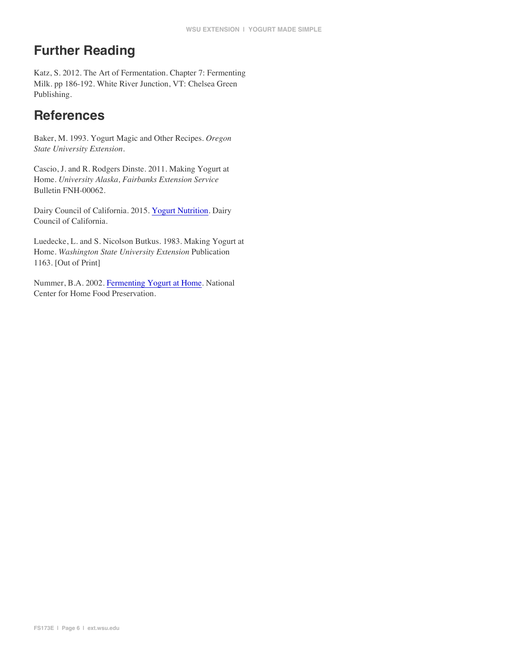## **Further Reading**

Katz, S. 2012. The Art of Fermentation. Chapter 7: Fermenting Milk. pp 186-192. White River Junction, VT: Chelsea Green Publishing.

### **References**

Baker, M. 1993. Yogurt Magic and Other Recipes. *Oregon State University Extension*.

Cascio, J. and R. Rodgers Dinste. 2011. Making Yogurt at Home. *University Alaska, Fairbanks Extension Service* Bulletin FNH-00062.

Dairy Council of California. 2015. Yogurt Nutrition. Dairy Council of California.

Luedecke, L. and S. Nicolson Butkus. 1983. Making Yogurt at Home. *Washington State University Extension* Publication 1163. [Out of Print]

Nummer, B.A. 2002. Fermenting Yogurt at Home. National Center for Home Food Preservation.